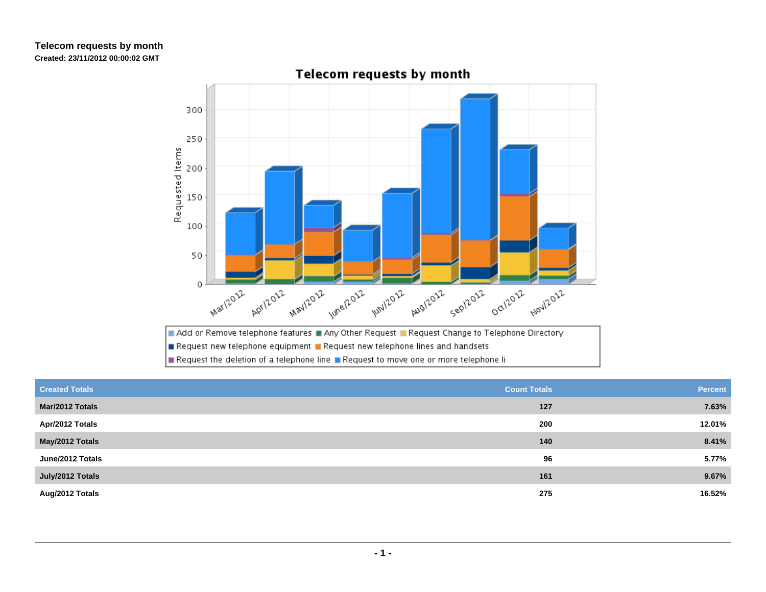## **Telecom requests by monthCreated: 23/11/2012 00:00:02 GMT**



**Telecom requests by month** 

| <b>Created Totals</b> | <b>Count Totals</b> | <b>Percent</b> |
|-----------------------|---------------------|----------------|
| Mar/2012 Totals       | 127                 | 7.63%          |
| Apr/2012 Totals       | 200                 | 12.01%         |
| May/2012 Totals       | 140                 | 8.41%          |
| June/2012 Totals      | 96                  | 5.77%          |
| July/2012 Totals      | 161                 | 9.67%          |
| Aug/2012 Totals       | 275                 | 16.52%         |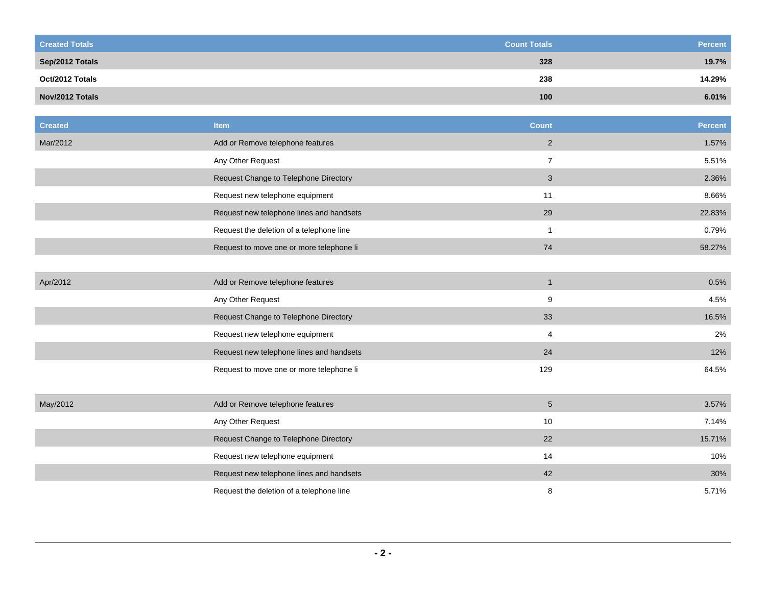| <b>Created Totals</b> |                                          | <b>Count Totals</b> | <b>Percent</b> |
|-----------------------|------------------------------------------|---------------------|----------------|
| Sep/2012 Totals       |                                          | 328                 | 19.7%          |
| Oct/2012 Totals       |                                          | 238                 | 14.29%         |
| Nov/2012 Totals       |                                          | 100                 | 6.01%          |
|                       |                                          |                     |                |
| <b>Created</b>        | <b>Item</b>                              | <b>Count</b>        | <b>Percent</b> |
| Mar/2012              | Add or Remove telephone features         | $\overline{2}$      | 1.57%          |
|                       | Any Other Request                        | $\overline{7}$      | 5.51%          |
|                       | Request Change to Telephone Directory    | $\mathbf{3}$        | 2.36%          |
|                       | Request new telephone equipment          | 11                  | 8.66%          |
|                       | Request new telephone lines and handsets | 29                  | 22.83%         |
|                       | Request the deletion of a telephone line | $\mathbf{1}$        | 0.79%          |
|                       | Request to move one or more telephone li | 74                  | 58.27%         |
|                       |                                          |                     |                |
| Apr/2012              | Add or Remove telephone features         | $\mathbf{1}$        | 0.5%           |
|                       | Any Other Request                        | 9                   | 4.5%           |
|                       | Request Change to Telephone Directory    | 33                  | 16.5%          |
|                       | Request new telephone equipment          | $\overline{4}$      | 2%             |
|                       | Request new telephone lines and handsets | 24                  | 12%            |
|                       | Request to move one or more telephone li | 129                 | 64.5%          |
|                       |                                          |                     |                |
| May/2012              | Add or Remove telephone features         | $5\phantom{.0}$     | 3.57%          |
|                       | Any Other Request                        | 10                  | 7.14%          |
|                       | Request Change to Telephone Directory    | 22                  | 15.71%         |
|                       | Request new telephone equipment          | 14                  | 10%            |
|                       | Request new telephone lines and handsets | 42                  | 30%            |
|                       | Request the deletion of a telephone line | 8                   | 5.71%          |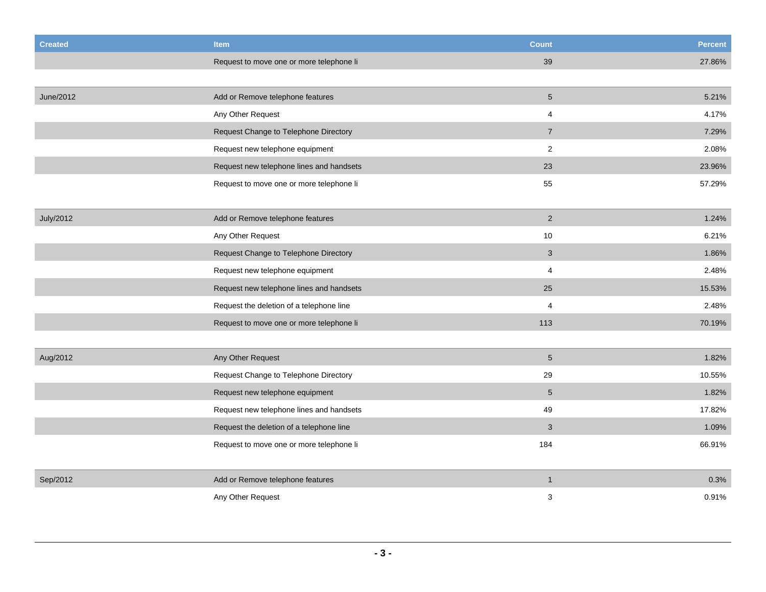| <b>Created</b> | <b>Item</b>                              | <b>Count</b>    | <b>Percent</b> |
|----------------|------------------------------------------|-----------------|----------------|
|                | Request to move one or more telephone li | 39              | 27.86%         |
|                |                                          |                 |                |
| June/2012      | Add or Remove telephone features         | $5\phantom{.0}$ | 5.21%          |
|                | Any Other Request                        | 4               | 4.17%          |
|                | Request Change to Telephone Directory    | $\overline{7}$  | 7.29%          |
|                | Request new telephone equipment          | $\sqrt{2}$      | 2.08%          |
|                | Request new telephone lines and handsets | 23              | 23.96%         |
|                | Request to move one or more telephone li | 55              | 57.29%         |
|                |                                          |                 |                |
| July/2012      | Add or Remove telephone features         | 2               | 1.24%          |
|                | Any Other Request                        | 10              | 6.21%          |
|                | Request Change to Telephone Directory    | $\mathbf{3}$    | 1.86%          |
|                | Request new telephone equipment          | $\overline{4}$  | 2.48%          |
|                | Request new telephone lines and handsets | 25              | 15.53%         |
|                | Request the deletion of a telephone line | 4               | 2.48%          |
|                | Request to move one or more telephone li | 113             | 70.19%         |
|                |                                          |                 |                |
| Aug/2012       | Any Other Request                        | $5\phantom{.0}$ | 1.82%          |
|                | Request Change to Telephone Directory    | 29              | 10.55%         |
|                | Request new telephone equipment          | $\sqrt{5}$      | 1.82%          |
|                | Request new telephone lines and handsets | 49              | 17.82%         |
|                | Request the deletion of a telephone line | $\mathsf 3$     | 1.09%          |
|                | Request to move one or more telephone li | 184             | 66.91%         |
|                |                                          |                 |                |
| Sep/2012       | Add or Remove telephone features         | $\mathbf{1}$    | 0.3%           |
|                | Any Other Request                        | 3               | 0.91%          |